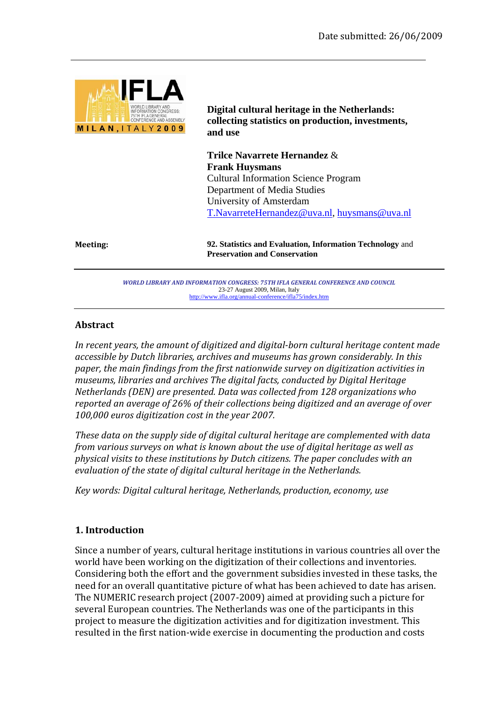

**Digital cultural heritage in the Netherlands: collecting statistics on production, investments, and use** 

**Trilce Navarrete Hernandez** & **Frank Huysmans**  Cultural Information Science Program Department of Media Studies University of Amsterdam T.NavarreteHernandez@uva.nl, huysmans@uva.nl

**Meeting: 92. Statistics and Evaluation, Information Technology** and **Preservation and Conservation**

> *WORLD LIBRARY AND INFORMATION CONGRESS: 75TH IFLA GENERAL CONFERENCE AND COUNCIL*  23-27 August 2009, Milan, Italy http://www.ifla.org/annual-conference/ifla75/index.htm

#### **Abstract**

*In recent years, the amount of digitized and digital-born cultural heritage content made accessible by Dutch libraries, archives and museums has grown considerably. In this paper, the main findings from the first nationwide survey on digitization activities in museums, libraries and archives The digital facts, conducted by Digital Heritage Netherlands (DEN) are presented. Data was collected from 128 organizations who reported an average of 26% of their collections being digitized and an average of over 100,000 euros digitization cost in the year 2007.* 

*These data on the supply side of digital cultural heritage are complemented with data from various surveys on what is known about the use of digital heritage as well as physical visits to these institutions by Dutch citizens. The paper concludes with an evaluation of the state of digital cultural heritage in the Netherlands.* 

*Key words: Digital cultural heritage, Netherlands, production, economy, use* 

#### **1. Introduction**

Since a number of years, cultural heritage institutions in various countries all over the world have been working on the digitization of their collections and inventories. Considering both the effort and the government subsidies invested in these tasks, the need for an overall quantitative picture of what has been achieved to date has arisen. The NUMERIC research project (2007-2009) aimed at providing such a picture for several European countries. The Netherlands was one of the participants in this project to measure the digitization activities and for digitization investment. This resulted in the first nation-wide exercise in documenting the production and costs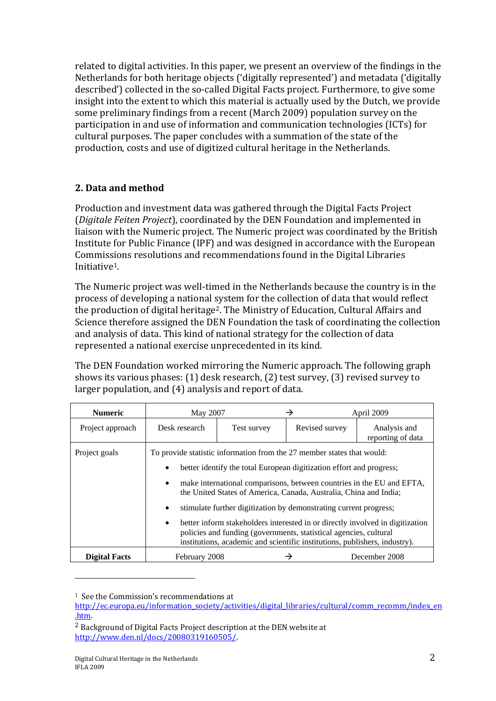related to digital activities. In this paper, we present an overview of the findings in the Netherlands for both heritage objects ('digitally represented') and metadata ('digitally described') collected in the so-called Digital Facts project. Furthermore, to give some insight into the extent to which this material is actually used by the Dutch, we provide some preliminary findings from a recent (March 2009) population survey on the participation in and use of information and communication technologies (ICTs) for cultural purposes. The paper concludes with a summation of the state of the production, costs and use of digitized cultural heritage in the Netherlands.

# **2. Data and method**

Production and investment data was gathered through the Digital Facts Project (*Digitale Feiten Project*), coordinated by the DEN Foundation and implemented in liaison with the Numeric project. The Numeric project was coordinated by the British Institute for Public Finance (IPF) and was designed in accordance with the European Commissions resolutions and recommendations found in the Digital Libraries Initiative1.

The Numeric project was well-timed in the Netherlands because the country is in the process of developing a national system for the collection of data that would reflect the production of digital heritage2. The Ministry of Education, Cultural Affairs and Science therefore assigned the DEN Foundation the task of coordinating the collection and analysis of data. This kind of national strategy for the collection of data represented a national exercise unprecedented in its kind.

The DEN Foundation worked mirroring the Numeric approach. The following graph shows its various phases: (1) desk research, (2) test survey, (3) revised survey to larger population, and (4) analysis and report of data.

| <b>Numeric</b>   |                                                                                                                                                                                                                                                                                                                                                                                                                                                                                                                                      | May 2007<br>April 2009<br>→ |                                                                            |                                   |  |
|------------------|--------------------------------------------------------------------------------------------------------------------------------------------------------------------------------------------------------------------------------------------------------------------------------------------------------------------------------------------------------------------------------------------------------------------------------------------------------------------------------------------------------------------------------------|-----------------------------|----------------------------------------------------------------------------|-----------------------------------|--|
| Project approach | Desk research                                                                                                                                                                                                                                                                                                                                                                                                                                                                                                                        | Test survey                 | Revised survey                                                             | Analysis and<br>reporting of data |  |
| Project goals    | To provide statistic information from the 27 member states that would:<br>better identify the total European digitization effort and progress;<br>make international comparisons, between countries in the EU and EFTA,<br>the United States of America, Canada, Australia, China and India;<br>stimulate further digitization by demonstrating current progress;<br>better inform stakeholders interested in or directly involved in digitization<br>$\bullet$<br>policies and funding (governments, statistical agencies, cultural |                             | institutions, academic and scientific institutions, publishers, industry). |                                   |  |
| Digital Facts    | December 2008<br>February 2008                                                                                                                                                                                                                                                                                                                                                                                                                                                                                                       |                             |                                                                            |                                   |  |

<sup>&</sup>lt;sup>1</sup> See the Commission's recommendations at

http://ec.europa.eu/information\_society/activities/digital\_libraries/cultural/comm\_recomm/index\_en .htm.

<sup>2</sup> Background of Digital Facts Project description at the DEN website at http://www.den.nl/docs/20080319160505/.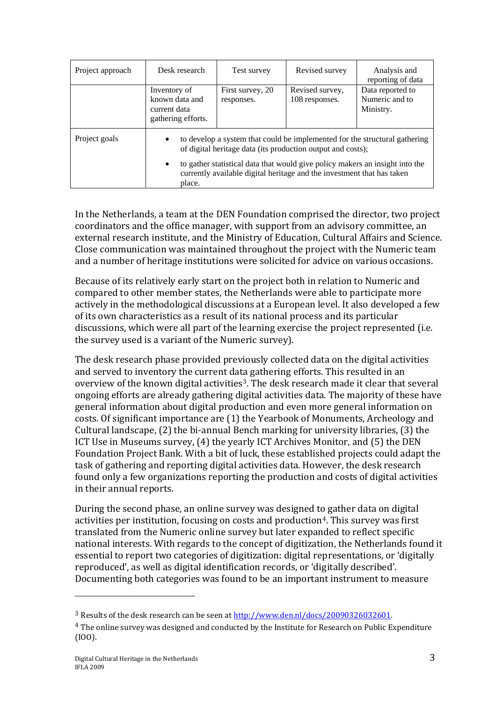| Project approach | Desk research                                                        | Test survey                                                                                                                                                                                                                                                                                         | Revised survey                    | Analysis and<br>reporting of data               |  |
|------------------|----------------------------------------------------------------------|-----------------------------------------------------------------------------------------------------------------------------------------------------------------------------------------------------------------------------------------------------------------------------------------------------|-----------------------------------|-------------------------------------------------|--|
|                  | Inventory of<br>known data and<br>current data<br>gathering efforts. | First survey, 20<br>responses.                                                                                                                                                                                                                                                                      | Revised survey,<br>108 responses. | Data reported to<br>Numeric and to<br>Ministry. |  |
| Project goals    | ٠<br>place.                                                          | to develop a system that could be implemented for the structural gathering<br>of digital heritage data (its production output and costs);<br>to gather statistical data that would give policy makers an insight into the<br>currently available digital heritage and the investment that has taken |                                   |                                                 |  |

In the Netherlands, a team at the DEN Foundation comprised the director, two project coordinators and the office manager, with support from an advisory committee, an external research institute, and the Ministry of Education, Cultural Affairs and Science. Close communication was maintained throughout the project with the Numeric team and a number of heritage institutions were solicited for advice on various occasions.

Because of its relatively early start on the project both in relation to Numeric and compared to other member states, the Netherlands were able to participate more actively in the methodological discussions at a European level. It also developed a few of its own characteristics as a result of its national process and its particular discussions, which were all part of the learning exercise the project represented (i.e. the survey used is a variant of the Numeric survey).

The desk research phase provided previously collected data on the digital activities and served to inventory the current data gathering efforts. This resulted in an overview of the known digital activities<sup>3</sup>. The desk research made it clear that several ongoing efforts are already gathering digital activities data. The majority of these have general information about digital production and even more general information on costs. Of significant importance are (1) the Yearbook of Monuments, Archeology and Cultural landscape, (2) the bi-annual Bench marking for university libraries, (3) the ICT Use in Museums survey, (4) the yearly ICT Archives Monitor, and (5) the DEN Foundation Project Bank. With a bit of luck, these established projects could adapt the task of gathering and reporting digital activities data. However, the desk research found only a few organizations reporting the production and costs of digital activities in their annual reports.

During the second phase, an online survey was designed to gather data on digital activities per institution, focusing on costs and production<sup>4</sup>. This survey was first translated from the Numeric online survey but later expanded to reflect specific national interests. With regards to the concept of digitization, the Netherlands found it essential to report two categories of digitization: digital representations, or 'digitally reproduced', as well as digital identification records, or 'digitally described'. Documenting both categories was found to be an important instrument to measure

l

<sup>&</sup>lt;sup>3</sup> Results of the desk research can be seen at  $\frac{http://www.den.nl/docs/20090326032601}{http://www.den.nl/docs/20090326032601}.$ (IOO).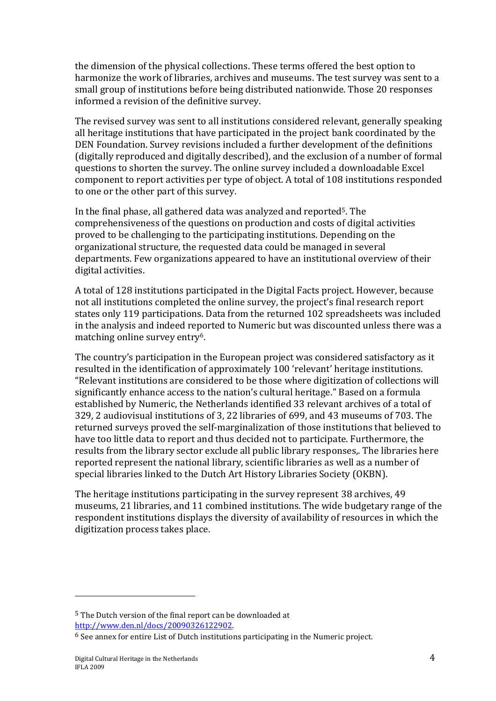the dimension of the physical collections. These terms offered the best option to harmonize the work of libraries, archives and museums. The test survey was sent to a small group of institutions before being distributed nationwide. Those 20 responses informed a revision of the definitive survey.

The revised survey was sent to all institutions considered relevant, generally speaking all heritage institutions that have participated in the project bank coordinated by the DEN Foundation. Survey revisions included a further development of the definitions (digitally reproduced and digitally described), and the exclusion of a number of formal questions to shorten the survey. The online survey included a downloadable Excel component to report activities per type of object. A total of 108 institutions responded to one or the other part of this survey.

In the final phase, all gathered data was analyzed and reported5. The comprehensiveness of the questions on production and costs of digital activities proved to be challenging to the participating institutions. Depending on the organizational structure, the requested data could be managed in several departments. Few organizations appeared to have an institutional overview of their digital activities.

A total of 128 institutions participated in the Digital Facts project. However, because not all institutions completed the online survey, the project's final research report states only 119 participations. Data from the returned 102 spreadsheets was included in the analysis and indeed reported to Numeric but was discounted unless there was a matching online survey entry6.

The country's participation in the European project was considered satisfactory as it resulted in the identification of approximately 100 'relevant' heritage institutions. "Relevant institutions are considered to be those where digitization of collections will significantly enhance access to the nation's cultural heritage." Based on a formula established by Numeric, the Netherlands identified 33 relevant archives of a total of 329, 2 audiovisual institutions of 3, 22 libraries of 699, and 43 museums of 703. The returned surveys proved the self-marginalization of those institutions that believed to have too little data to report and thus decided not to participate. Furthermore, the results from the library sector exclude all public library responses,. The libraries here reported represent the national library, scientific libraries as well as a number of special libraries linked to the Dutch Art History Libraries Society (OKBN).

The heritage institutions participating in the survey represent 38 archives, 49 museums, 21 libraries, and 11 combined institutions. The wide budgetary range of the respondent institutions displays the diversity of availability of resources in which the digitization process takes place.

l

<sup>5</sup> The Dutch version of the final report can be downloaded at

http://www.den.nl/docs/20090326122902. 6 See annex for entire List of Dutch institutions participating in the Numeric project.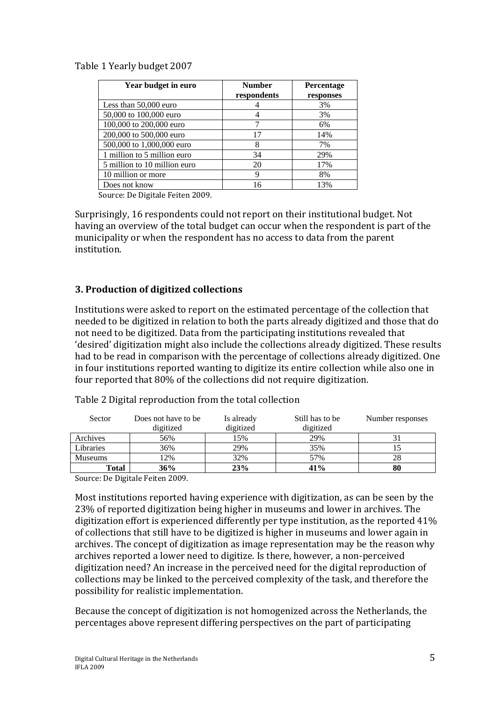### Table 1 Yearly budget 2007

| Year budget in euro          | <b>Number</b> | Percentage |
|------------------------------|---------------|------------|
|                              | respondents   | responses  |
| Less than 50,000 euro        |               | 3%         |
| 50,000 to 100,000 euro       |               | 3%         |
| 100,000 to 200,000 euro      |               | 6%         |
| 200,000 to 500,000 euro      | 17            | 14%        |
| 500,000 to 1,000,000 euro    | 8             | 7%         |
| 1 million to 5 million euro  | 34            | 29%        |
| 5 million to 10 million euro | 20            | 17%        |
| 10 million or more           | 9             | 8%         |
| Does not know                | 16            | 13%        |

Source: De Digitale Feiten 2009.

Surprisingly, 16 respondents could not report on their institutional budget. Not having an overview of the total budget can occur when the respondent is part of the municipality or when the respondent has no access to data from the parent institution.

## **3. Production of digitized collections**

Institutions were asked to report on the estimated percentage of the collection that needed to be digitized in relation to both the parts already digitized and those that do not need to be digitized. Data from the participating institutions revealed that 'desired' digitization might also include the collections already digitized. These results had to be read in comparison with the percentage of collections already digitized. One in four institutions reported wanting to digitize its entire collection while also one in four reported that 80% of the collections did not require digitization.

| Sector         | Does not have to be | Is already | Still has to be | Number responses |
|----------------|---------------------|------------|-----------------|------------------|
|                | digitized           | digitized  | digitized       |                  |
| Archives       | 56%                 | 15%        | 29%             |                  |
| Libraries      | 36%                 | 29%        | 35%             |                  |
| <b>Museums</b> | 12%                 | 32%        | 57%             | 28               |
| Total          | 36%                 | 23%        | 41%             | 80               |

Table 2 Digital reproduction from the total collection

Source: De Digitale Feiten 2009.

Most institutions reported having experience with digitization, as can be seen by the 23% of reported digitization being higher in museums and lower in archives. The digitization effort is experienced differently per type institution, as the reported 41% of collections that still have to be digitized is higher in museums and lower again in archives. The concept of digitization as image representation may be the reason why archives reported a lower need to digitize. Is there, however, a non-perceived digitization need? An increase in the perceived need for the digital reproduction of collections may be linked to the perceived complexity of the task, and therefore the possibility for realistic implementation.

Because the concept of digitization is not homogenized across the Netherlands, the percentages above represent differing perspectives on the part of participating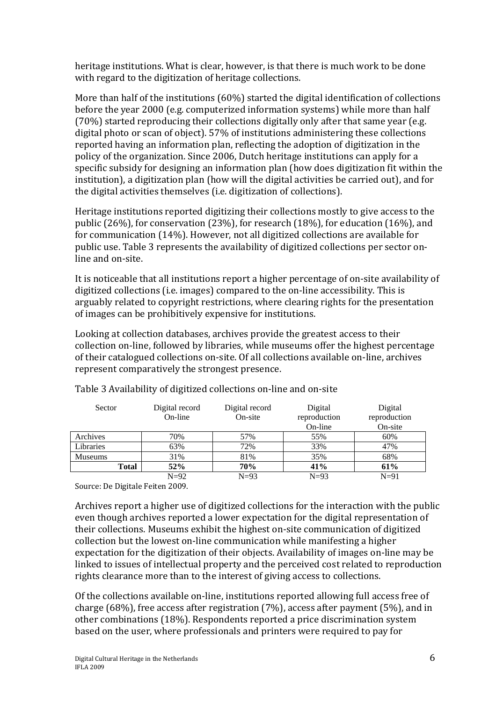heritage institutions. What is clear, however, is that there is much work to be done with regard to the digitization of heritage collections.

More than half of the institutions (60%) started the digital identification of collections before the year 2000 (e.g. computerized information systems) while more than half (70%) started reproducing their collections digitally only after that same year (e.g. digital photo or scan of object). 57% of institutions administering these collections reported having an information plan, reflecting the adoption of digitization in the policy of the organization. Since 2006, Dutch heritage institutions can apply for a specific subsidy for designing an information plan (how does digitization fit within the institution), a digitization plan (how will the digital activities be carried out), and for the digital activities themselves (i.e. digitization of collections).

Heritage institutions reported digitizing their collections mostly to give access to the public (26%), for conservation (23%), for research (18%), for education (16%), and for communication (14%). However, not all digitized collections are available for public use. Table 3 represents the availability of digitized collections per sector online and on-site.

It is noticeable that all institutions report a higher percentage of on-site availability of digitized collections (i.e. images) compared to the on-line accessibility. This is arguably related to copyright restrictions, where clearing rights for the presentation of images can be prohibitively expensive for institutions.

Looking at collection databases, archives provide the greatest access to their collection on-line, followed by libraries, while museums offer the highest percentage of their catalogued collections on-site. Of all collections available on-line, archives represent comparatively the strongest presence.

| Sector         | Digital record<br>On-line | Digital record<br>On-site | Digital<br>reproduction | Digital<br>reproduction |
|----------------|---------------------------|---------------------------|-------------------------|-------------------------|
|                |                           |                           | On-line                 | On-site                 |
| Archives       | 70%                       | 57%                       | 55%                     | 60%                     |
| Libraries      | 63%                       | 72%                       | 33%                     | 47%                     |
| <b>Museums</b> | 31%                       | 81%                       | 35%                     | 68%                     |
| <b>Total</b>   | 52%                       | 70%                       | 41%                     | 61%                     |
|                | $N=92$                    | $N=93$                    | $N=93$                  | $N=91$                  |

Table 3 Availability of digitized collections on-line and on-site

Source: De Digitale Feiten 2009.

Archives report a higher use of digitized collections for the interaction with the public even though archives reported a lower expectation for the digital representation of their collections. Museums exhibit the highest on-site communication of digitized collection but the lowest on-line communication while manifesting a higher expectation for the digitization of their objects. Availability of images on-line may be linked to issues of intellectual property and the perceived cost related to reproduction rights clearance more than to the interest of giving access to collections.

Of the collections available on-line, institutions reported allowing full access free of charge (68%), free access after registration (7%), access after payment (5%), and in other combinations (18%). Respondents reported a price discrimination system based on the user, where professionals and printers were required to pay for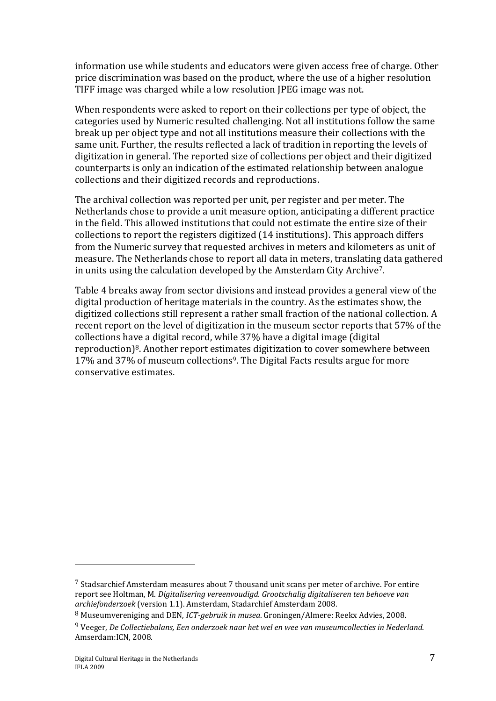information use while students and educators were given access free of charge. Other price discrimination was based on the product, where the use of a higher resolution TIFF image was charged while a low resolution JPEG image was not.

When respondents were asked to report on their collections per type of object, the categories used by Numeric resulted challenging. Not all institutions follow the same break up per object type and not all institutions measure their collections with the same unit. Further, the results reflected a lack of tradition in reporting the levels of digitization in general. The reported size of collections per object and their digitized counterparts is only an indication of the estimated relationship between analogue collections and their digitized records and reproductions.

The archival collection was reported per unit, per register and per meter. The Netherlands chose to provide a unit measure option, anticipating a different practice in the field. This allowed institutions that could not estimate the entire size of their collections to report the registers digitized (14 institutions). This approach differs from the Numeric survey that requested archives in meters and kilometers as unit of measure. The Netherlands chose to report all data in meters, translating data gathered in units using the calculation developed by the Amsterdam City Archive7.

Table 4 breaks away from sector divisions and instead provides a general view of the digital production of heritage materials in the country. As the estimates show, the digitized collections still represent a rather small fraction of the national collection. A recent report on the level of digitization in the museum sector reports that 57% of the collections have a digital record, while 37% have a digital image (digital reproduction)8. Another report estimates digitization to cover somewhere between 17% and 37% of museum collections9. The Digital Facts results argue for more conservative estimates.

<sup>7</sup> Stadsarchief Amsterdam measures about 7 thousand unit scans per meter of archive. For entire report see Holtman, M. *Digitalisering vereenvoudigd. Grootschalig digitaliseren ten behoeve van archiefonderzoek* (version 1.1). Amsterdam, Stadarchief Amsterdam 2008.

<sup>8</sup> Museumvereniging and DEN, *ICT-gebruik in musea*. Groningen/Almere: Reekx Advies, 2008.

<sup>9</sup> Veeger, *De Collectiebalans, Een onderzoek naar het wel en wee van museumcollecties in Nederland*. Amserdam:ICN, 2008.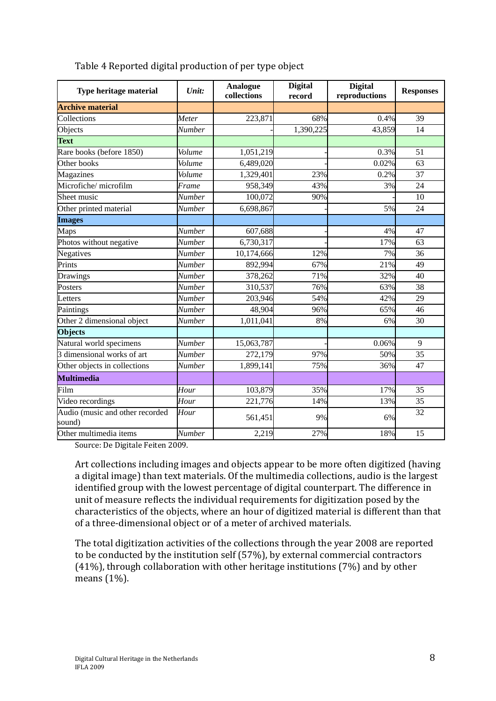| Type heritage material                    | Unit:                           | <b>Analogue</b><br>collections | <b>Digital</b><br>record | <b>Digital</b><br>reproductions | <b>Responses</b> |
|-------------------------------------------|---------------------------------|--------------------------------|--------------------------|---------------------------------|------------------|
| <b>Archive material</b>                   |                                 |                                |                          |                                 |                  |
| Collections                               | Meter                           | 223,871                        | 68%                      | 0.4%                            | 39               |
| Objects                                   | <b>Number</b>                   |                                | 1,390,225                | 43,859                          | 14               |
| <b>Text</b>                               |                                 |                                |                          |                                 |                  |
| Rare books (before 1850)                  | Volume                          | 1,051,219                      |                          | 0.3%                            | 51               |
| Other books                               | Volume                          | 6,489,020                      |                          | 0.02%                           | 63               |
| Magazines                                 | Volume                          | 1,329,401                      | 23%                      | 0.2%                            | 37               |
| Microfiche/microfilm                      | Frame                           | 958,349                        | 43%                      | 3%                              | 24               |
| Sheet music                               | <b>Number</b>                   | 100,072                        | 90%                      |                                 | 10               |
| Other printed material                    | Number                          | 6,698,867                      |                          | 5%                              | 24               |
| <b>Images</b>                             |                                 |                                |                          |                                 |                  |
| Maps                                      | <b>Number</b>                   | 607,688                        |                          | 4%                              | 47               |
| Photos without negative                   | Number                          | 6,730,317                      |                          | 17%                             | 63               |
| Negatives                                 | <b>Number</b>                   | 10,174,666                     | 12%                      | 7%                              | 36               |
| Prints                                    | <b>Number</b>                   | 892,994                        | 67%                      | 21%                             | 49               |
| Drawings                                  | <b>Number</b>                   | 378,262                        | 71%                      | 32%                             | 40               |
| Posters                                   | <b>Number</b>                   | 310,537                        | 76%                      | 63%                             | 38               |
| Letters                                   | Number                          | 203,946                        | 54%                      | 42%                             | 29               |
| Paintings                                 | Number                          | 48,904                         | 96%                      | 65%                             | 46               |
| Other 2 dimensional object                | <b>Number</b>                   | 1,011,041                      | 8%                       | 6%                              | 30               |
| <b>Objects</b>                            |                                 |                                |                          |                                 |                  |
| Natural world specimens                   | $\overline{\overline{N}}$ umber | 15,063,787                     |                          | 0.06%                           | 9                |
| 3 dimensional works of art                | <b>Number</b>                   | 272,179                        | 97%                      | 50%                             | 35               |
| Other objects in collections              | Number                          | 1,899,141                      | 75%                      | 36%                             | 47               |
| <b>Multimedia</b>                         |                                 |                                |                          |                                 |                  |
| Film                                      | Hour                            | 103,879                        | 35%                      | 17%                             | 35               |
| Video recordings                          | Hour                            | 221,776                        | 14%                      | 13%                             | 35               |
| Audio (music and other recorded<br>sound) | Hour                            | 561,451                        | 9%                       | 6%                              | 32               |
| Other multimedia items                    | Number                          | 2,219                          | 27%                      | 18%                             | 15               |

Table 4 Reported digital production of per type object

Source: De Digitale Feiten 2009.

Art collections including images and objects appear to be more often digitized (having a digital image) than text materials. Of the multimedia collections, audio is the largest identified group with the lowest percentage of digital counterpart. The difference in unit of measure reflects the individual requirements for digitization posed by the characteristics of the objects, where an hour of digitized material is different than that of a three-dimensional object or of a meter of archived materials.

The total digitization activities of the collections through the year 2008 are reported to be conducted by the institution self (57%), by external commercial contractors (41%), through collaboration with other heritage institutions (7%) and by other means (1%).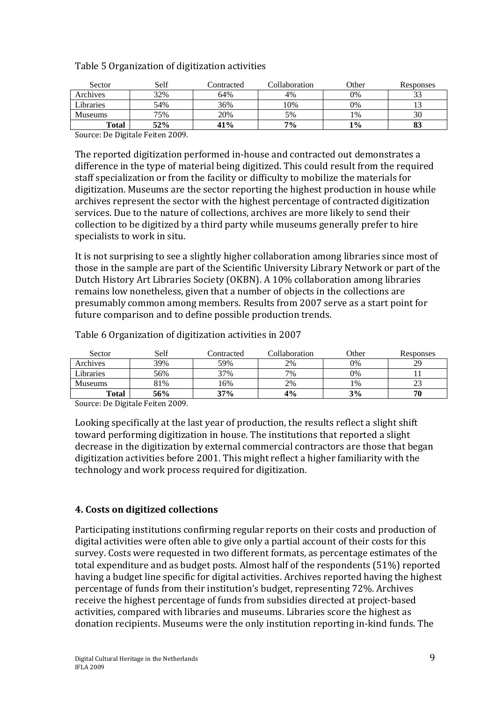Table 5 Organization of digitization activities

| Sector         | Self | Contracted | Collaboration | Other | Responses |
|----------------|------|------------|---------------|-------|-----------|
| Archives       | 32%  | 64%        | 4%            | 0%    | ر ر       |
| Libraries      | 54%  | 36%        | 10%           | 0%    |           |
| <b>Museums</b> | 75%  | 20%        | 5%            | 1%    | 30        |
| Total          | 52%  | 41%        | $7\%$         | 1%    | 05        |

Source: De Digitale Feiten 2009.

The reported digitization performed in-house and contracted out demonstrates a difference in the type of material being digitized. This could result from the required staff specialization or from the facility or difficulty to mobilize the materials for digitization. Museums are the sector reporting the highest production in house while archives represent the sector with the highest percentage of contracted digitization services. Due to the nature of collections, archives are more likely to send their collection to be digitized by a third party while museums generally prefer to hire specialists to work in situ.

It is not surprising to see a slightly higher collaboration among libraries since most of those in the sample are part of the Scientific University Library Network or part of the Dutch History Art Libraries Society (OKBN). A 10% collaboration among libraries remains low nonetheless, given that a number of objects in the collections are presumably common among members. Results from 2007 serve as a start point for future comparison and to define possible production trends.

| Sector         | Self | Contracted | Collaboration | Other | Responses |
|----------------|------|------------|---------------|-------|-----------|
| Archives       | 39%  | 59%        | 2%            | 0%    | 29        |
| Libraries      | 56%  | 37%        | 7%            | 0%    |           |
| <b>Museums</b> | 81%  | 16%        | 2%            | 1%    | ل ک       |
| Total          | 56%  | 37%        | 4%            | 3%    | 70        |

Table 6 Organization of digitization activities in 2007

Source: De Digitale Feiten 2009.

Looking specifically at the last year of production, the results reflect a slight shift toward performing digitization in house. The institutions that reported a slight decrease in the digitization by external commercial contractors are those that began digitization activities before 2001. This might reflect a higher familiarity with the technology and work process required for digitization.

#### **4. Costs on digitized collections**

Participating institutions confirming regular reports on their costs and production of digital activities were often able to give only a partial account of their costs for this survey. Costs were requested in two different formats, as percentage estimates of the total expenditure and as budget posts. Almost half of the respondents (51%) reported having a budget line specific for digital activities. Archives reported having the highest percentage of funds from their institution's budget, representing 72%. Archives receive the highest percentage of funds from subsidies directed at project-based activities, compared with libraries and museums. Libraries score the highest as donation recipients. Museums were the only institution reporting in-kind funds. The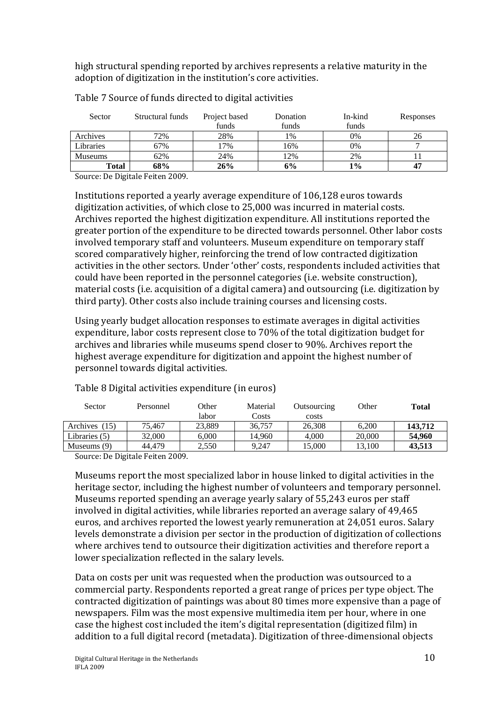high structural spending reported by archives represents a relative maturity in the adoption of digitization in the institution's core activities.

| Sector         | Structural funds | Project based | Donation | In-kind | Responses |
|----------------|------------------|---------------|----------|---------|-----------|
|                |                  | funds         | funds    | funds   |           |
| Archives       | 72%              | 28%           | 1%       | 0%      | 26        |
| Libraries      | 67%              | 17%           | 16%      | 0%      |           |
| <b>Museums</b> | 62%              | 24%           | 12%      | 2%      |           |
| Total          | 68%              | 26%           | 6%       | $1\%$   | 47        |

Table 7 Source of funds directed to digital activities

Source: De Digitale Feiten 2009.

Institutions reported a yearly average expenditure of 106,128 euros towards digitization activities, of which close to 25,000 was incurred in material costs. Archives reported the highest digitization expenditure. All institutions reported the greater portion of the expenditure to be directed towards personnel. Other labor costs involved temporary staff and volunteers. Museum expenditure on temporary staff scored comparatively higher, reinforcing the trend of low contracted digitization activities in the other sectors. Under 'other' costs, respondents included activities that could have been reported in the personnel categories (i.e. website construction), material costs (i.e. acquisition of a digital camera) and outsourcing (i.e. digitization by third party). Other costs also include training courses and licensing costs.

Using yearly budget allocation responses to estimate averages in digital activities expenditure, labor costs represent close to 70% of the total digitization budget for archives and libraries while museums spend closer to 90%. Archives report the highest average expenditure for digitization and appoint the highest number of personnel towards digital activities.

| Sector        | Personnel | Other  | Material | Outsourcing | Other  | Total   |
|---------------|-----------|--------|----------|-------------|--------|---------|
|               |           | labor  | Costs    | costs       |        |         |
| Archives (15) | 75.467    | 23,889 | 36,757   | 26.308      | 6.200  | 143,712 |
| Libraries (5) | 32,000    | 6.000  | 14.960   | 4.000       | 20,000 | 54,960  |
| Museums (9)   | 44.479    | 2.550  | 9.247    | 15.000      | 13.100 | 43.513  |

Table 8 Digital activities expenditure (in euros)

Source: De Digitale Feiten 2009.

Museums report the most specialized labor in house linked to digital activities in the heritage sector, including the highest number of volunteers and temporary personnel. Museums reported spending an average yearly salary of 55,243 euros per staff involved in digital activities, while libraries reported an average salary of 49,465 euros, and archives reported the lowest yearly remuneration at 24,051 euros. Salary levels demonstrate a division per sector in the production of digitization of collections where archives tend to outsource their digitization activities and therefore report a lower specialization reflected in the salary levels.

Data on costs per unit was requested when the production was outsourced to a commercial party. Respondents reported a great range of prices per type object. The contracted digitization of paintings was about 80 times more expensive than a page of newspapers. Film was the most expensive multimedia item per hour, where in one case the highest cost included the item's digital representation (digitized film) in addition to a full digital record (metadata). Digitization of three-dimensional objects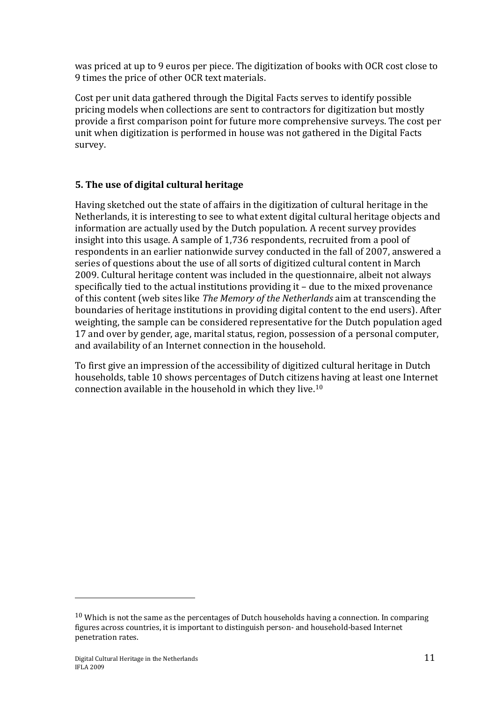was priced at up to 9 euros per piece. The digitization of books with OCR cost close to 9 times the price of other OCR text materials.

Cost per unit data gathered through the Digital Facts serves to identify possible pricing models when collections are sent to contractors for digitization but mostly provide a first comparison point for future more comprehensive surveys. The cost per unit when digitization is performed in house was not gathered in the Digital Facts survey.

# **5. The use of digital cultural heritage**

Having sketched out the state of affairs in the digitization of cultural heritage in the Netherlands, it is interesting to see to what extent digital cultural heritage objects and information are actually used by the Dutch population. A recent survey provides insight into this usage. A sample of 1,736 respondents, recruited from a pool of respondents in an earlier nationwide survey conducted in the fall of 2007, answered a series of questions about the use of all sorts of digitized cultural content in March 2009. Cultural heritage content was included in the questionnaire, albeit not always specifically tied to the actual institutions providing it – due to the mixed provenance of this content (web sites like *The Memory of the Netherlands* aim at transcending the boundaries of heritage institutions in providing digital content to the end users). After weighting, the sample can be considered representative for the Dutch population aged 17 and over by gender, age, marital status, region, possession of a personal computer, and availability of an Internet connection in the household.

To first give an impression of the accessibility of digitized cultural heritage in Dutch households, table 10 shows percentages of Dutch citizens having at least one Internet connection available in the household in which they live.10

 $10$  Which is not the same as the percentages of Dutch households having a connection. In comparing figures across countries, it is important to distinguish person- and household-based Internet penetration rates.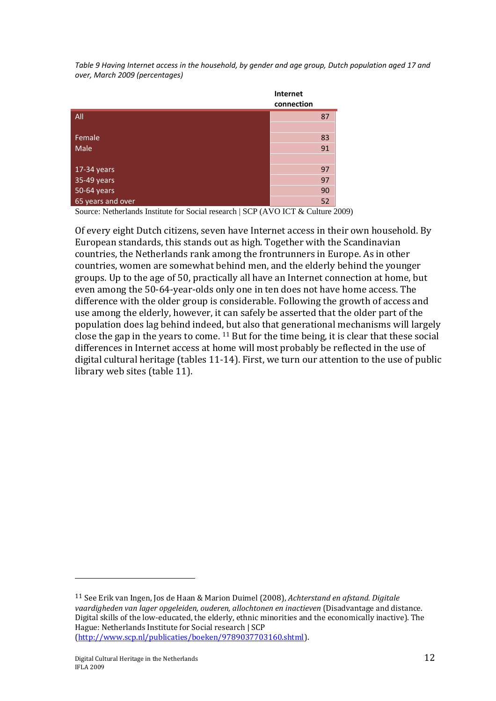*Table 9 Having Internet access in the household, by gender and age group, Dutch population aged 17 and over, March 2009 (percentages)* 

|                   | Internet<br>connection |    |
|-------------------|------------------------|----|
| All               |                        | 87 |
|                   |                        |    |
| Female            |                        | 83 |
| Male              |                        | 91 |
|                   |                        |    |
| 17-34 years       |                        | 97 |
| 35-49 years       |                        | 97 |
| 50-64 years       |                        | 90 |
| 65 years and over |                        | 52 |

Source: Netherlands Institute for Social research | SCP (AVO ICT & Culture 2009)

Of every eight Dutch citizens, seven have Internet access in their own household. By European standards, this stands out as high. Together with the Scandinavian countries, the Netherlands rank among the frontrunners in Europe. As in other countries, women are somewhat behind men, and the elderly behind the younger groups. Up to the age of 50, practically all have an Internet connection at home, but even among the 50-64-year-olds only one in ten does not have home access. The difference with the older group is considerable. Following the growth of access and use among the elderly, however, it can safely be asserted that the older part of the population does lag behind indeed, but also that generational mechanisms will largely close the gap in the years to come. 11 But for the time being, it is clear that these social differences in Internet access at home will most probably be reflected in the use of digital cultural heritage (tables 11-14). First, we turn our attention to the use of public library web sites (table 11).

<sup>11</sup> See Erik van Ingen, Jos de Haan & Marion Duimel (2008), *Achterstand en afstand. Digitale vaardigheden van lager opgeleiden, ouderen, allochtonen en inactieven* (Disadvantage and distance. Digital skills of the low-educated, the elderly, ethnic minorities and the economically inactive). The Hague: Netherlands Institute for Social research | SCP (http://www.scp.nl/publicaties/boeken/9789037703160.shtml).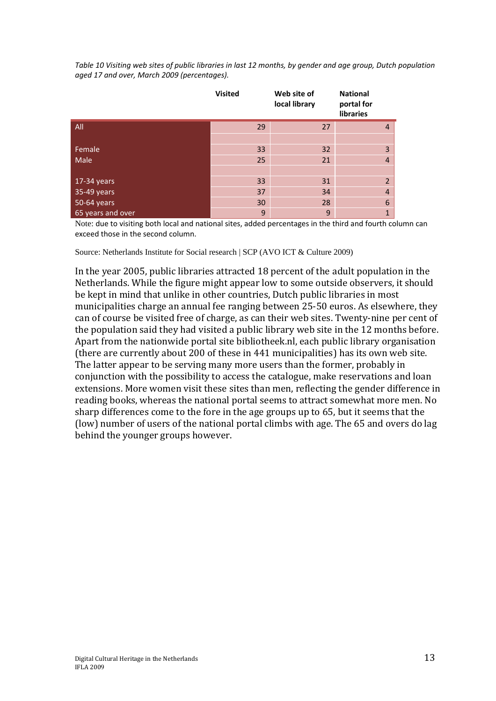*Table 10 Visiting web sites of public libraries in last 12 months, by gender and age group, Dutch population aged 17 and over, March 2009 (percentages).* 

|                   | <b>Visited</b> | Web site of<br>local library | <b>National</b><br>portal for<br>libraries |
|-------------------|----------------|------------------------------|--------------------------------------------|
| All               | 29             | 27                           | $\overline{4}$                             |
|                   |                |                              |                                            |
| Female            | 33             | 32                           | 3                                          |
| Male              | 25             | 21                           | $\overline{4}$                             |
|                   |                |                              |                                            |
| 17-34 years       | 33             | 31                           | $\overline{2}$                             |
| 35-49 years       | 37             | 34                           | $\overline{4}$                             |
| 50-64 years       | 30             | 28                           | $6\phantom{1}6$                            |
| 65 years and over | 9              | 9                            | $\overline{1}$                             |

Note: due to visiting both local and national sites, added percentages in the third and fourth column can exceed those in the second column.

Source: Netherlands Institute for Social research | SCP (AVO ICT & Culture 2009)

In the year 2005, public libraries attracted 18 percent of the adult population in the Netherlands. While the figure might appear low to some outside observers, it should be kept in mind that unlike in other countries, Dutch public libraries in most municipalities charge an annual fee ranging between 25-50 euros. As elsewhere, they can of course be visited free of charge, as can their web sites. Twenty-nine per cent of the population said they had visited a public library web site in the 12 months before. Apart from the nationwide portal site bibliotheek.nl, each public library organisation (there are currently about 200 of these in 441 municipalities) has its own web site. The latter appear to be serving many more users than the former, probably in conjunction with the possibility to access the catalogue, make reservations and loan extensions. More women visit these sites than men, reflecting the gender difference in reading books, whereas the national portal seems to attract somewhat more men. No sharp differences come to the fore in the age groups up to 65, but it seems that the (low) number of users of the national portal climbs with age. The 65 and overs do lag behind the younger groups however.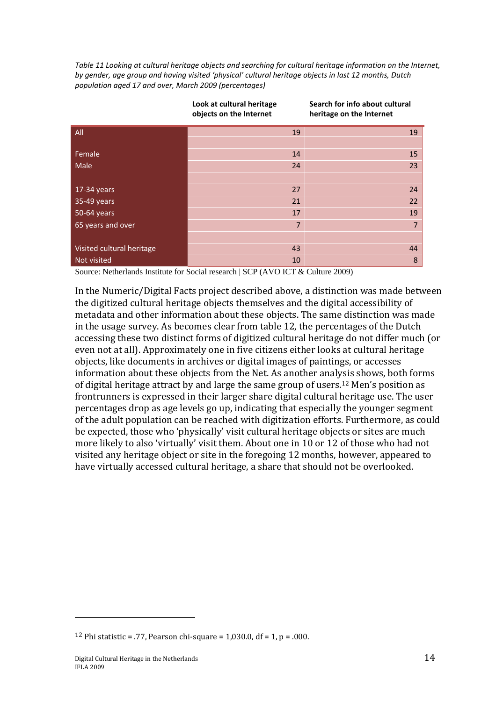*Table 11 Looking at cultural heritage objects and searching for cultural heritage information on the Internet, by gender, age group and having visited 'physical' cultural heritage objects in last 12 months, Dutch population aged 17 and over, March 2009 (percentages)* 

**Search for info about cultural** 

**Look at cultural heritage** 

|                           | LOOK at cultural neritage<br>objects on the Internet | Search for info about cultural<br>heritage on the Internet |
|---------------------------|------------------------------------------------------|------------------------------------------------------------|
| All                       | 19                                                   | 19                                                         |
|                           |                                                      |                                                            |
| Female                    | 14                                                   | 15                                                         |
| Male                      | 24                                                   | 23                                                         |
|                           |                                                      |                                                            |
| $17-34$ years             | 27                                                   | 24                                                         |
| 35-49 years               | 21                                                   | 22                                                         |
| 50-64 years               | 17                                                   | 19                                                         |
| 65 years and over         | $\overline{7}$                                       | $\overline{7}$                                             |
|                           |                                                      |                                                            |
| Visited cultural heritage | 43                                                   | 44                                                         |
| Not visited               | 10                                                   | 8                                                          |

Source: Netherlands Institute for Social research | SCP (AVO ICT & Culture 2009)

In the Numeric/Digital Facts project described above, a distinction was made between the digitized cultural heritage objects themselves and the digital accessibility of metadata and other information about these objects. The same distinction was made in the usage survey. As becomes clear from table 12, the percentages of the Dutch accessing these two distinct forms of digitized cultural heritage do not differ much (or even not at all). Approximately one in five citizens either looks at cultural heritage objects, like documents in archives or digital images of paintings, or accesses information about these objects from the Net. As another analysis shows, both forms of digital heritage attract by and large the same group of users.<sup>12</sup> Men's position as frontrunners is expressed in their larger share digital cultural heritage use. The user percentages drop as age levels go up, indicating that especially the younger segment of the adult population can be reached with digitization efforts. Furthermore, as could be expected, those who 'physically' visit cultural heritage objects or sites are much more likely to also 'virtually' visit them. About one in 10 or 12 of those who had not visited any heritage object or site in the foregoing 12 months, however, appeared to have virtually accessed cultural heritage, a share that should not be overlooked.

<sup>&</sup>lt;sup>12</sup> Phi statistic = .77, Pearson chi-square = 1,030.0, df = 1, p = .000.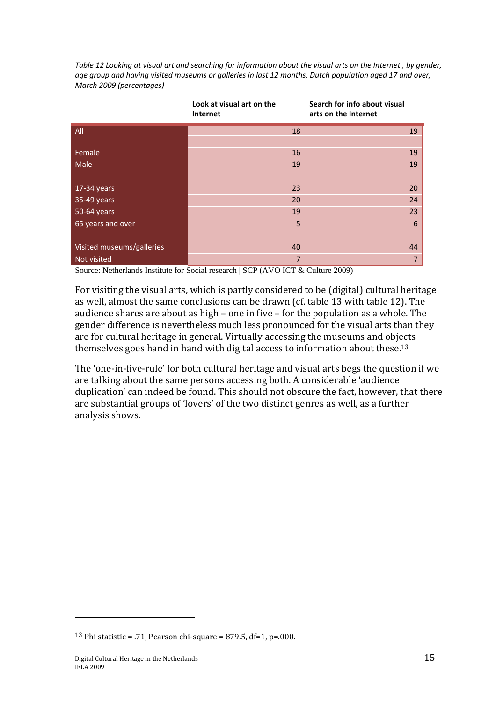*Table 12 Looking at visual art and searching for information about the visual arts on the Internet , by gender, age group and having visited museums or galleries in last 12 months, Dutch population aged 17 and over, March 2009 (percentages)* 

|                           | Look at visual art on the<br>Internet | Search for info about visual<br>arts on the Internet |
|---------------------------|---------------------------------------|------------------------------------------------------|
| All                       | 18                                    | 19                                                   |
|                           |                                       |                                                      |
| Female                    | 16                                    | 19                                                   |
| Male                      | 19                                    | 19                                                   |
|                           |                                       |                                                      |
| 17-34 years               | 23                                    | 20                                                   |
| 35-49 years               | 20                                    | 24                                                   |
| 50-64 years               | 19                                    | 23                                                   |
| 65 years and over         | 5                                     | $6\phantom{1}6$                                      |
|                           |                                       |                                                      |
| Visited museums/galleries | 40                                    | 44                                                   |
| Not visited               | $\overline{7}$                        | $\overline{7}$                                       |

Source: Netherlands Institute for Social research | SCP (AVO ICT & Culture 2009)

For visiting the visual arts, which is partly considered to be (digital) cultural heritage as well, almost the same conclusions can be drawn (cf. table 13 with table 12). The audience shares are about as high – one in five – for the population as a whole. The gender difference is nevertheless much less pronounced for the visual arts than they are for cultural heritage in general. Virtually accessing the museums and objects themselves goes hand in hand with digital access to information about these.13

The 'one-in-five-rule' for both cultural heritage and visual arts begs the question if we are talking about the same persons accessing both. A considerable 'audience duplication' can indeed be found. This should not obscure the fact, however, that there are substantial groups of 'lovers' of the two distinct genres as well, as a further analysis shows.

<sup>&</sup>lt;sup>13</sup> Phi statistic = .71, Pearson chi-square = 879.5, df=1, p=.000.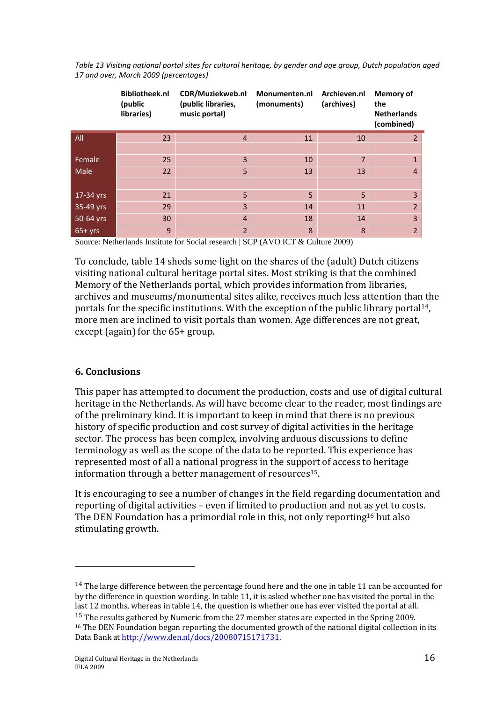|           | <b>Bibliotheek.nl</b><br>(public<br>libraries) | CDR/Muziekweb.nl<br>(public libraries,<br>music portal) | Monumenten.nl<br>(monuments) | Archieven.nl<br>(archives) | <b>Memory of</b><br>the<br><b>Netherlands</b><br>(combined) |
|-----------|------------------------------------------------|---------------------------------------------------------|------------------------------|----------------------------|-------------------------------------------------------------|
| All       | 23                                             | $\overline{4}$                                          | 11                           | 10                         | $\overline{2}$                                              |
|           |                                                |                                                         |                              |                            |                                                             |
| Female    | 25                                             | $\overline{3}$                                          | 10                           | $\overline{7}$             |                                                             |
| Male      | 22                                             | 5                                                       | 13                           | 13                         | $\overline{4}$                                              |
|           |                                                |                                                         |                              |                            |                                                             |
| 17-34 yrs | 21                                             | 5                                                       | 5                            | 5                          | 3                                                           |
| 35-49 yrs | 29                                             | $\overline{3}$                                          | 14                           | 11                         | $\overline{2}$                                              |
| 50-64 yrs | 30                                             | $\overline{4}$                                          | 18                           | 14                         | 3                                                           |
| $65+yrs$  | 9                                              | $\overline{2}$                                          | 8                            | 8                          | $\overline{2}$                                              |

*Table 13 Visiting national portal sites for cultural heritage, by gender and age group, Dutch population aged 17 and over, March 2009 (percentages)* 

Source: Netherlands Institute for Social research | SCP (AVO ICT & Culture 2009)

To conclude, table 14 sheds some light on the shares of the (adult) Dutch citizens visiting national cultural heritage portal sites. Most striking is that the combined Memory of the Netherlands portal, which provides information from libraries, archives and museums/monumental sites alike, receives much less attention than the portals for the specific institutions. With the exception of the public library portal14, more men are inclined to visit portals than women. Age differences are not great, except (again) for the 65+ group.

#### **6. Conclusions**

 $\overline{a}$ 

This paper has attempted to document the production, costs and use of digital cultural heritage in the Netherlands. As will have become clear to the reader, most findings are of the preliminary kind. It is important to keep in mind that there is no previous history of specific production and cost survey of digital activities in the heritage sector. The process has been complex, involving arduous discussions to define terminology as well as the scope of the data to be reported. This experience has represented most of all a national progress in the support of access to heritage information through a better management of resources15.

It is encouraging to see a number of changes in the field regarding documentation and reporting of digital activities – even if limited to production and not as yet to costs. The DEN Foundation has a primordial role in this, not only reporting<sup>16</sup> but also stimulating growth.

<sup>&</sup>lt;sup>14</sup> The large difference between the percentage found here and the one in table 11 can be accounted for by the difference in question wording. In table 11, it is asked whether one has visited the portal in the last 12 months, whereas in table 14, the question is whether one has ever visited the portal at all. <sup>15</sup> The results gathered by Numeric from the 27 member states are expected in the Spring 2009.

<sup>&</sup>lt;sup>16</sup> The DEN Foundation began reporting the documented growth of the national digital collection in its Data Bank at http://www.den.nl/docs/20080715171731.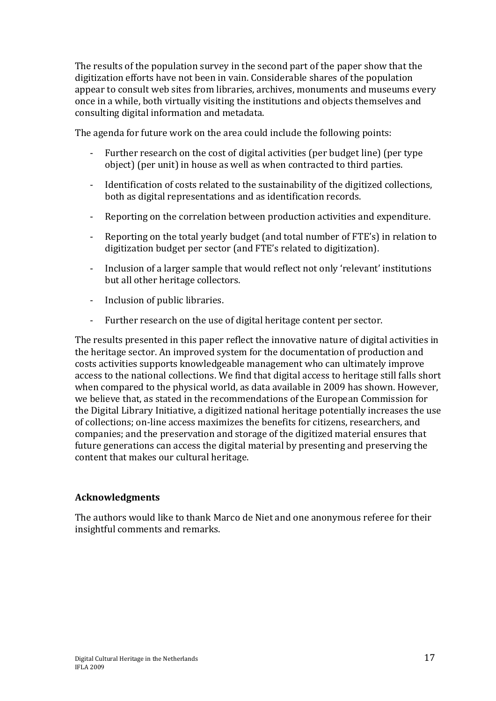The results of the population survey in the second part of the paper show that the digitization efforts have not been in vain. Considerable shares of the population appear to consult web sites from libraries, archives, monuments and museums every once in a while, both virtually visiting the institutions and objects themselves and consulting digital information and metadata.

The agenda for future work on the area could include the following points:

- Further research on the cost of digital activities (per budget line) (per type object) (per unit) in house as well as when contracted to third parties.
- Identification of costs related to the sustainability of the digitized collections, both as digital representations and as identification records.
- Reporting on the correlation between production activities and expenditure.
- Reporting on the total yearly budget (and total number of FTE's) in relation to digitization budget per sector (and FTE's related to digitization).
- Inclusion of a larger sample that would reflect not only 'relevant' institutions but all other heritage collectors.
- Inclusion of public libraries.
- Further research on the use of digital heritage content per sector.

The results presented in this paper reflect the innovative nature of digital activities in the heritage sector. An improved system for the documentation of production and costs activities supports knowledgeable management who can ultimately improve access to the national collections. We find that digital access to heritage still falls short when compared to the physical world, as data available in 2009 has shown. However, we believe that, as stated in the recommendations of the European Commission for the Digital Library Initiative, a digitized national heritage potentially increases the use of collections; on-line access maximizes the benefits for citizens, researchers, and companies; and the preservation and storage of the digitized material ensures that future generations can access the digital material by presenting and preserving the content that makes our cultural heritage.

## **Acknowledgments**

The authors would like to thank Marco de Niet and one anonymous referee for their insightful comments and remarks.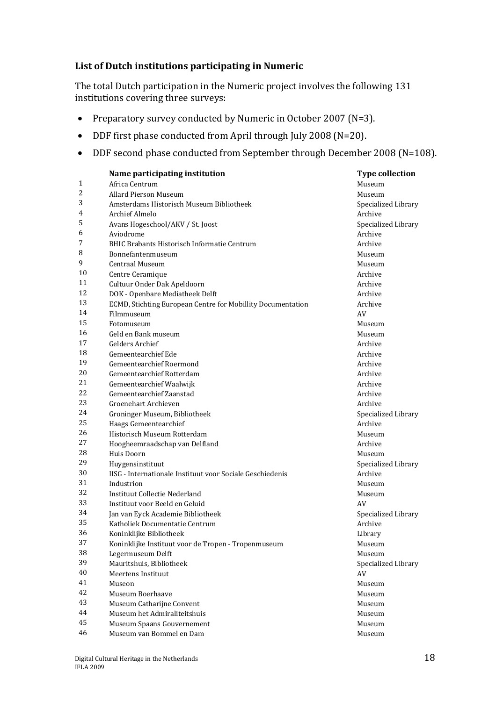## **List of Dutch institutions participating in Numeric**

The total Dutch participation in the Numeric project involves the following 131 institutions covering three surveys:

- Preparatory survey conducted by Numeric in October 2007 (N=3).
- DDF first phase conducted from April through July 2008 (N=20).
- DDF second phase conducted from September through December 2008 (N=108).

|                | Name participating institution                              | <b>Type collection</b> |
|----------------|-------------------------------------------------------------|------------------------|
| $\mathbf{1}$   | Africa Centrum                                              | Museum                 |
| $\overline{c}$ | <b>Allard Pierson Museum</b>                                | Museum                 |
| 3              | Amsterdams Historisch Museum Bibliotheek                    | Specialized Library    |
| 4              | <b>Archief Almelo</b>                                       | Archive                |
| 5              | Avans Hogeschool/AKV / St. Joost                            | Specialized Library    |
| 6              | Aviodrome                                                   | Archive                |
| 7              | <b>BHIC Brabants Historisch Informatie Centrum</b>          | Archive                |
| 8              | Bonnefantenmuseum                                           | Museum                 |
| 9              | <b>Centraal Museum</b>                                      | Museum                 |
| 10             | Centre Ceramique                                            | Archive                |
| 11             | Cultuur Onder Dak Apeldoorn                                 | Archive                |
| 12             | DOK - Openbare Mediatheek Delft                             | Archive                |
| 13             | ECMD, Stichting European Centre for Mobillity Documentation | Archive                |
| 14             | Filmmuseum                                                  | AV                     |
| 15             | Fotomuseum                                                  | Museum                 |
| 16             | Geld en Bank museum                                         | Museum                 |
| 17             | <b>Gelders Archief</b>                                      | Archive                |
| 18             | Gemeentearchief Ede                                         | Archive                |
| 19             | <b>Gemeentearchief Roermond</b>                             | Archive                |
| 20             | Gemeentearchief Rotterdam                                   | Archive                |
| 21             | Gemeentearchief Waalwijk                                    | Archive                |
| 22             | Gemeentearchief Zaanstad                                    | Archive                |
| 23             | Groenehart Archieven                                        | Archive                |
| 24             | Groninger Museum, Bibliotheek                               | Specialized Library    |
| 25             | Haags Gemeentearchief                                       | Archive                |
| 26             | Historisch Museum Rotterdam                                 | Museum                 |
| 27             | Hoogheemraadschap van Delfland                              | Archive                |
| 28             | Huis Doorn                                                  | Museum                 |
| 29             | Huygensinstituut                                            | Specialized Library    |
| 30             | IISG - Internationale Instituut voor Sociale Geschiedenis   | Archive                |
| 31             | Industrion                                                  | Museum                 |
| 32             | <b>Instituut Collectie Nederland</b>                        | Museum                 |
| 33             | Instituut voor Beeld en Geluid                              | AV                     |
| 34             | Jan van Eyck Academie Bibliotheek                           | Specialized Library    |
| 35             | Katholiek Documentatie Centrum                              | Archive                |
| 36             | Koninklijke Bibliotheek                                     | Library                |
| 37             | Koninklijke Instituut voor de Tropen - Tropenmuseum         | Museum                 |
| 38             | Legermuseum Delft                                           | Museum                 |
| 39             | Mauritshuis, Bibliotheek                                    | Specialized Library    |
| 40             | Meertens Instituut                                          | AV                     |
| 41             | Museon                                                      | Museum                 |
| 42             | Museum Boerhaave                                            | Museum                 |
| 43             | Museum Catharijne Convent                                   | Museum                 |
| 44             | Museum het Admiraliteitshuis                                | Museum                 |
| 45             | Museum Spaans Gouvernement                                  | Museum                 |
| 46             | Museum van Bommel en Dam                                    | Museum                 |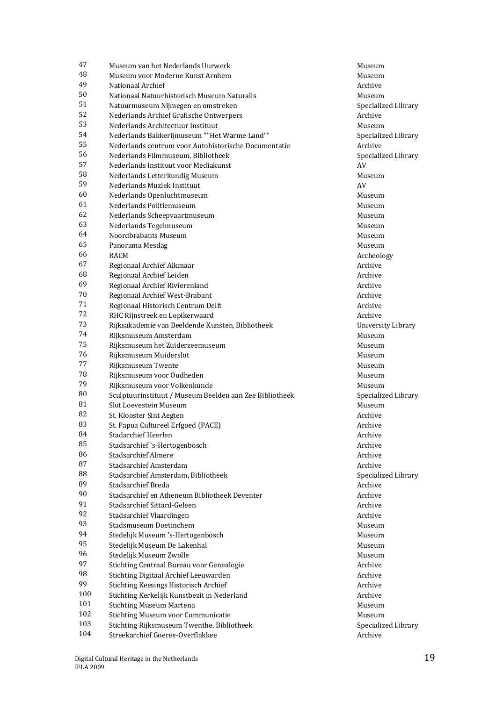| 47     | Museum van het Nederlands Uurwerk                       | Museum    |
|--------|---------------------------------------------------------|-----------|
| 48     | Museum voor Moderne Kunst Arnhem                        | Museum    |
| 49     | Nationaal Archief                                       | Archive   |
| 50     | Nationaal Natuurhistorisch Museum Naturalis             | Museum    |
| 51     | Natuurmuseum Nijmegen en omstreken                      | Specializ |
| 52     | Nederlands Archief Grafische Ontwerpers                 | Archive   |
| 53     | Nederlands Architectuur Instituut                       | Museum    |
| 54     | Nederlands Bakkerijmuseum ""Het Warme Land""            | Specializ |
| 55     | Nederlands centrum voor Autohistorische Documentatie    | Archive   |
| 56     | Nederlands Filmmuseum, Bibliotheek                      | Specializ |
| 57     | Nederlands Instituut voor Mediakunst                    | AV        |
| 58     | Nederlands Letterkundig Museum                          | Museum    |
| 59     | Nederlands Muziek Instituut                             | AV        |
| 60     | Nederlands Openluchtmuseum                              | Museum    |
| 61     | Nederlands Politiemuseum                                | Museum    |
| 62     | Nederlands Scheepvaartmuseum                            | Museum    |
| 63     | Nederlands Tegelmuseum                                  | Museum    |
| 64     | Noordbrabants Museum                                    | Museum    |
| 65     | Panorama Mesdag                                         | Museum    |
| 66     | <b>RACM</b>                                             | Archeolo  |
| 67     | Regionaal Archief Alkmaar                               | Archive   |
| 68     | Regionaal Archief Leiden                                | Archive   |
| 69     | Regionaal Archief Rivierenland                          | Archive   |
| 70     | Regionaal Archief West-Brabant                          | Archive   |
| 71     | Regionaal Historisch Centrum Delft                      | Archive   |
| 72     | RHC Rijnstreek en Lopikerwaard                          | Archive   |
| 73     | Rijksakademie van Beeldende Kunsten, Bibliotheek        | Universit |
| 74     | Rijksmuseum Amsterdam                                   | Museum    |
| 75     | Rijksmuseum het Zuiderzeemuseum                         | Museum    |
| 76     | Rijksmuseum Muiderslot                                  | Museum    |
| 77     | Rijksmuseum Twente                                      | Museum    |
| 78     | Rijksmuseum voor Oudheden                               | Museum    |
| 79     | Rijksmuseum voor Volkenkunde                            | Museum    |
| $80\,$ | Sculptuurinstituut / Museum Beelden aan Zee Bibliotheek | Specializ |
| 81     | Slot Loevestein Museum                                  | Museum    |
| 82     | St. Klooster Sint Aegten                                | Archive   |
| 83     | St. Papua Cultureel Erfgoed (PACE)                      | Archive   |
| 84     | Stadarchief Heerlen                                     | Archive   |
| 85     | Stadsarchief `s-Hertogenbosch                           | Archive   |
| 86     | <b>Stadsarchief Almere</b>                              | Archive   |
| 87     | Stadsarchief Amsterdam                                  | Archive   |
| 88     | Stadsarchief Amsterdam, Bibliotheek                     | Specializ |
| 89     | Stadsarchief Breda                                      | Archive   |
| 90     | Stadsarchief en Atheneum Bibliotheek Deventer           | Archive   |
| 91     | Stadsarchief Sittard-Geleen                             | Archive   |
| 92     | Stadsarchief Vlaardingen                                | Archive   |
| 93     | Stadsmuseum Doetinchem                                  | Museum    |
| 94     | Stedelijk Museum 's-Hertogenbosch                       | Museum    |
| 95     | Stedelijk Museum De Lakenhal                            | Museum    |
| 96     | Stedelijk Museum Zwolle                                 | Museum    |
| 97     | Stichting Centraal Bureau voor Genealogie               | Archive   |
| 98     | Stichting Digitaal Archief Leeuwarden                   | Archive   |
| 99     | Stichting Keesings Historisch Archief                   | Archive   |
| 100    | Stichting Kerkelijk Kunstbezit in Nederland             | Archive   |
| 101    | <b>Stichting Museum Martena</b>                         | Museum    |
| 102    | <b>Stichting Museum voor Communicatie</b>               | Museum    |
| 103    | Stichting Rijksmuseum Twenthe, Bibliotheek              | Specializ |
| 104    | Streekarchief Goeree-Overflakkee                        | Archive   |

Specialized Library Specialized Library Specialized Library Archeology **University Library**<br>Museum Specialized Library Specialized Library Specialized Library